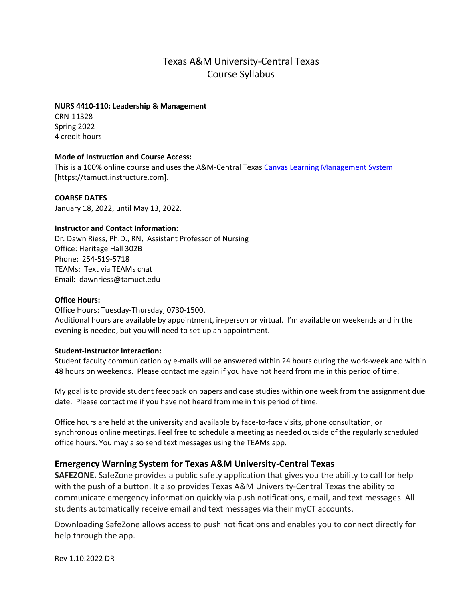# Texas A&M University-Central Texas Course Syllabus

#### **NURS 4410-110: Leadership & Management**

CRN-11328 Spring 2022 4 credit hours

#### **Mode of Instruction and Course Access:**

This is a 100% online course and uses the A&M-Central Texa[s Canvas Learning Management System](https://tamuct.instructure.com/) [https://tamuct.instructure.com].

#### **COARSE DATES**

January 18, 2022, until May 13, 2022.

#### **Instructor and Contact Information:**

Dr. Dawn Riess, Ph.D., RN, Assistant Professor of Nursing Office: Heritage Hall 302B Phone: 254-519-5718 TEAMs: Text via TEAMs chat Email: dawnriess@tamuct.edu

#### **Office Hours:**

Office Hours: Tuesday-Thursday, 0730-1500.

Additional hours are available by appointment, in-person or virtual. I'm available on weekends and in the evening is needed, but you will need to set-up an appointment.

#### **Student-Instructor Interaction:**

Student faculty communication by e-mails will be answered within 24 hours during the work-week and within 48 hours on weekends. Please contact me again if you have not heard from me in this period of time.

My goal is to provide student feedback on papers and case studies within one week from the assignment due date. Please contact me if you have not heard from me in this period of time.

Office hours are held at the university and available by face-to-face visits, phone consultation, or synchronous online meetings. Feel free to schedule a meeting as needed outside of the regularly scheduled office hours. You may also send text messages using the TEAMs app.

## **Emergency Warning System for Texas A&M University-Central Texas**

**SAFEZONE.** SafeZone provides a public safety application that gives you the ability to call for help with the push of a button. It also provides Texas A&M University-Central Texas the ability to communicate emergency information quickly via push notifications, email, and text messages. All students automatically receive email and text messages via their myCT accounts.

Downloading SafeZone allows access to push notifications and enables you to connect directly for help through the app.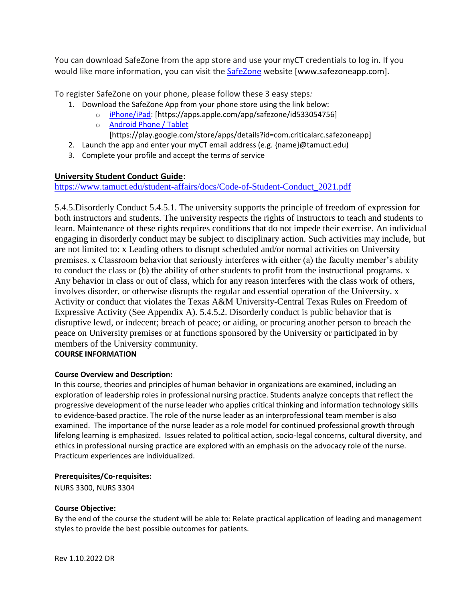You can download SafeZone from the app store and use your myCT credentials to log in. If you would like more information, you can visit the [SafeZone](http://www.safezoneapp.com/) website [www.safezoneapp.com].

To register SafeZone on your phone, please follow these 3 easy steps*:*

- 1. Download the SafeZone App from your phone store using the link below:
	- o [iPhone/iPad:](https://apps.apple.com/app/safezone/id533054756) [https://apps.apple.com/app/safezone/id533054756]
	- o [Android Phone / Tablet](https://play.google.com/store/apps/details?id=com.criticalarc.safezoneapp) [https://play.google.com/store/apps/details?id=com.criticalarc.safezoneapp]
- 2. Launch the app and enter your myCT email address (e.g. {name}@tamuct.edu)
- 3. Complete your profile and accept the terms of service

#### **University Student Conduct Guide**:

[https://www.tamuct.edu/student-affairs/docs/Code-of-Student-Conduct\\_2021.pdf](https://nam04.safelinks.protection.outlook.com/?url=https%3A%2F%2Fwww.tamuct.edu%2Fstudent-affairs%2Fdocs%2FCode-of-Student-Conduct_2021.pdf&data=04%7C01%7Cdawnriess%40tamuct.edu%7Cd23b1ef83aef447a684e08d9640b8c11%7C9eed4e3000f744849ff193ad8005acec%7C0%7C0%7C637650823013530413%7CUnknown%7CTWFpbGZsb3d8eyJWIjoiMC4wLjAwMDAiLCJQIjoiV2luMzIiLCJBTiI6Ik1haWwiLCJXVCI6Mn0%3D%7C1000&sdata=HNULVdxv%2BBEa15A9lbFtYlohZEWbxKqePKBT15SRg10%3D&reserved=0)

5.4.5.Disorderly Conduct 5.4.5.1. The university supports the principle of freedom of expression for both instructors and students. The university respects the rights of instructors to teach and students to learn. Maintenance of these rights requires conditions that do not impede their exercise. An individual engaging in disorderly conduct may be subject to disciplinary action. Such activities may include, but are not limited to: x Leading others to disrupt scheduled and/or normal activities on University premises. x Classroom behavior that seriously interferes with either (a) the faculty member's ability to conduct the class or (b) the ability of other students to profit from the instructional programs. x Any behavior in class or out of class, which for any reason interferes with the class work of others, involves disorder, or otherwise disrupts the regular and essential operation of the University. x Activity or conduct that violates the Texas A&M University-Central Texas Rules on Freedom of Expressive Activity (See Appendix A). 5.4.5.2. Disorderly conduct is public behavior that is disruptive lewd, or indecent; breach of peace; or aiding, or procuring another person to breach the peace on University premises or at functions sponsored by the University or participated in by members of the University community. **COURSE INFORMATION**

#### **Course Overview and Description:**

In this course, theories and principles of human behavior in organizations are examined, including an exploration of leadership roles in professional nursing practice. Students analyze concepts that reflect the progressive development of the nurse leader who applies critical thinking and information technology skills to evidence-based practice. The role of the nurse leader as an interprofessional team member is also examined. The importance of the nurse leader as a role model for continued professional growth through lifelong learning is emphasized. Issues related to political action, socio-legal concerns, cultural diversity, and ethics in professional nursing practice are explored with an emphasis on the advocacy role of the nurse. Practicum experiences are individualized.

#### **Prerequisites/Co-requisites:**

NURS 3300, NURS 3304

#### **Course Objective:**

By the end of the course the student will be able to: Relate practical application of leading and management styles to provide the best possible outcomes for patients.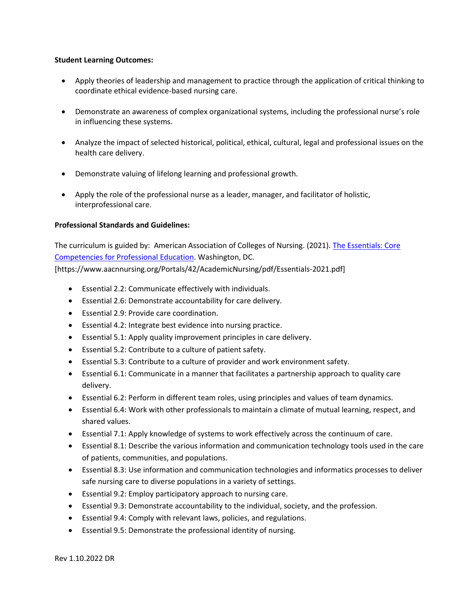#### **Student Learning Outcomes:**

- Apply theories of leadership and management to practice through the application of critical thinking to coordinate ethical evidence-based nursing care.
- Demonstrate an awareness of complex organizational systems, including the professional nurse's role in influencing these systems.
- Analyze the impact of selected historical, political, ethical, cultural, legal and professional issues on the health care delivery.
- Demonstrate valuing of lifelong learning and professional growth.
- Apply the role of the professional nurse as a leader, manager, and facilitator of holistic, interprofessional care.

#### **Professional Standards and Guidelines:**

The curriculum is guided by: American Association of Colleges of Nursing. (2021). [The Essentials: Core](https://www.aacnnursing.org/Portals/42/AcademicNursing/pdf/Essentials-2021.pdf)  [Competencies for Professional Education.](https://www.aacnnursing.org/Portals/42/AcademicNursing/pdf/Essentials-2021.pdf) Washington, DC. [https://www.aacnnursing.org/Portals/42/AcademicNursing/pdf/Essentials-2021.pdf]

- Essential 2.2: Communicate effectively with individuals.
- Essential 2.6: Demonstrate accountability for care delivery.
- Essential 2.9: Provide care coordination.
- Essential 4.2: Integrate best evidence into nursing practice.
- Essential 5.1: Apply quality improvement principles in care delivery.
- Essential 5.2: Contribute to a culture of patient safety.
- Essential 5.3: Contribute to a culture of provider and work environment safety.
- Essential 6.1: Communicate in a manner that facilitates a partnership approach to quality care delivery.
- Essential 6.2: Perform in different team roles, using principles and values of team dynamics.
- Essential 6.4: Work with other professionals to maintain a climate of mutual learning, respect, and shared values.
- Essential 7.1: Apply knowledge of systems to work effectively across the continuum of care.
- Essential 8.1: Describe the various information and communication technology tools used in the care of patients, communities, and populations.
- Essential 8.3: Use information and communication technologies and informatics processes to deliver safe nursing care to diverse populations in a variety of settings.
- Essential 9.2: Employ participatory approach to nursing care.
- Essential 9.3: Demonstrate accountability to the individual, society, and the profession.
- Essential 9.4: Comply with relevant laws, policies, and regulations.
- Essential 9.5: Demonstrate the professional identity of nursing.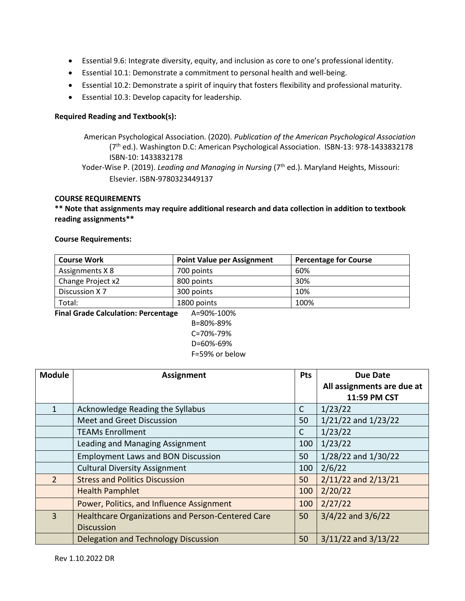- **\*** Essential 9.6: Integrate diversity, equity, and inclusion as core to one's professional identity.
- **•** Essential 10.1: Demonstrate a commitment to personal health and well-being.
	- Essential 10.2: Demonstrate a spirit of inquiry that fosters flexibility and professional maturity.
	- Essential 10.3: Develop capacity for leadership.

#### **Required Reading and Textbook(s):**

American Psychological Association. (2020). *Publication of the American Psychological Association*  (7th ed.). Washington D.C: American Psychological Association. ISBN-13: 978-1433832178 ISBN-10: 1433832178 Yoder-Wise P. (2019). *Leading and Managing in Nursing* (7<sup>th</sup> ed.). Maryland Heights, Missouri: Elsevier. ISBN-9780323449137

#### **COURSE REQUIREMENTS**

**\*\* Note that assignments may require additional research and data collection in addition to textbook reading assignments\*\***

#### **Course Requirements:**

| <b>Course Work</b>                                                       | <b>Point Value per Assignment</b> | <b>Percentage for Course</b> |  |  |  |
|--------------------------------------------------------------------------|-----------------------------------|------------------------------|--|--|--|
| Assignments X 8                                                          | 700 points                        | 60%                          |  |  |  |
| Change Project x2                                                        | 800 points                        | 30%                          |  |  |  |
| Discussion X7                                                            | 300 points                        | 10%                          |  |  |  |
| Total:                                                                   | 1800 points                       | 100%                         |  |  |  |
| Final Cuada Calculation: Dovenutore<br>$A = \Omega Q Q'$ $A \Omega Q Q'$ |                                   |                              |  |  |  |

**Final Grade Calculation: Percentage** A=90%-100%

B=80%-89% C=70%-79% D=60%-69%

| <b>Module</b>  | <b>Assignment</b>                                 | <b>Pts</b> | <b>Due Date</b>            |
|----------------|---------------------------------------------------|------------|----------------------------|
|                |                                                   |            | All assignments are due at |
|                |                                                   |            | 11:59 PM CST               |
| 1              | Acknowledge Reading the Syllabus                  | C          | 1/23/22                    |
|                | Meet and Greet Discussion                         | 50         | $1/21/22$ and $1/23/22$    |
|                | <b>TEAMs Enrollment</b>                           | C          | 1/23/22                    |
|                | Leading and Managing Assignment                   | 100        | 1/23/22                    |
|                | <b>Employment Laws and BON Discussion</b>         | 50         | 1/28/22 and 1/30/22        |
|                | <b>Cultural Diversity Assignment</b>              | 100        | 2/6/22                     |
| 2 <sup>1</sup> | <b>Stress and Politics Discussion</b>             | 50         | $2/11/22$ and $2/13/21$    |
|                | <b>Health Pamphlet</b>                            | 100        | 2/20/22                    |
|                | Power, Politics, and Influence Assignment         | 100        | 2/27/22                    |
| $\overline{3}$ | Healthcare Organizations and Person-Centered Care | 50         | $3/4/22$ and $3/6/22$      |
|                | <b>Discussion</b>                                 |            |                            |
|                | <b>Delegation and Technology Discussion</b>       | 50         | $3/11/22$ and $3/13/22$    |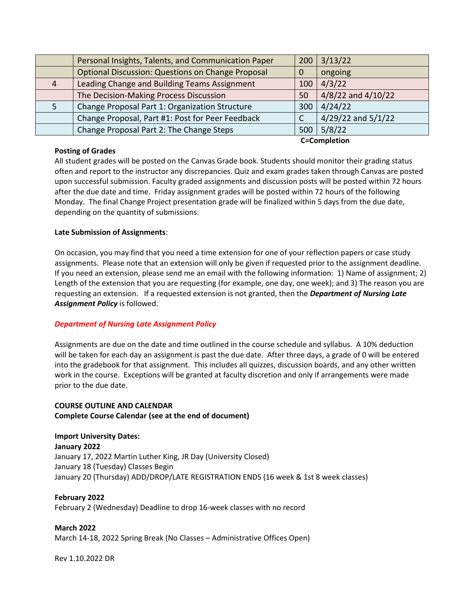|                | Personal Insights, Talents, and Communication Paper      |     | $200 \mid 3/13/22$ |
|----------------|----------------------------------------------------------|-----|--------------------|
|                | <b>Optional Discussion: Questions on Change Proposal</b> | 0   | ongoing            |
| $\overline{4}$ | Leading Change and Building Teams Assignment             | 100 | 4/3/22             |
|                | The Decision-Making Process Discussion                   | 50  | 4/8/22 and 4/10/22 |
|                | Change Proposal Part 1: Organization Structure           | 300 | 4/24/22            |
|                | Change Proposal, Part #1: Post for Peer Feedback         |     | 4/29/22 and 5/1/22 |
|                | Change Proposal Part 2: The Change Steps                 | 500 | 5/8/22             |

#### **Posting of Grades**

**C=Completion** 

All student grades will be posted on the Canvas Grade book. Students should monitor their grading status often and report to the instructor any discrepancies. Quiz and exam grades taken through Canvas are posted upon successful submission. Faculty graded assignments and discussion posts will be posted within 72 hours after the due date and time. Friday assignment grades will be posted within 72 hours of the following Monday. The final Change Project presentation grade will be finalized within 5 days from the due date, depending on the quantity of submissions.

## **Late Submission of Assignments**:

On occasion, you may find that you need a time extension for one of your reflection papers or case study assignments. Please note that an extension will only be given if requested prior to the assignment deadline. If you need an extension, please send me an email with the following information: 1) Name of assignment; 2) Length of the extension that you are requesting (for example, one day, one week); and 3) The reason you are requesting an extension. If a requested extension is not granted, then the *Department of Nursing Late Assignment Policy* is followed.

## *Department of Nursing Late Assignment Policy*

Assignments are due on the date and time outlined in the course schedule and syllabus. A 10% deduction will be taken for each day an assignment is past the due date. After three days, a grade of 0 will be entered into the gradebook for that assignment. This includes all quizzes, discussion boards, and any other written work in the course. Exceptions will be granted at faculty discretion and only if arrangements were made prior to the due date.

## **COURSE OUTLINE AND CALENDAR Complete Course Calendar (see at the end of document)**

**Import University Dates: January 2022** January 17, 2022 Martin Luther King, JR Day (University Closed) January 18 (Tuesday) Classes Begin January 20 (Thursday) ADD/DROP/LATE REGISTRATION ENDS (16 week & 1st 8 week classes)

#### **February 2022**

February 2 (Wednesday) Deadline to drop 16-week classes with no record

**March 2022** March 14-18, 2022 Spring Break (No Classes – Administrative Offices Open)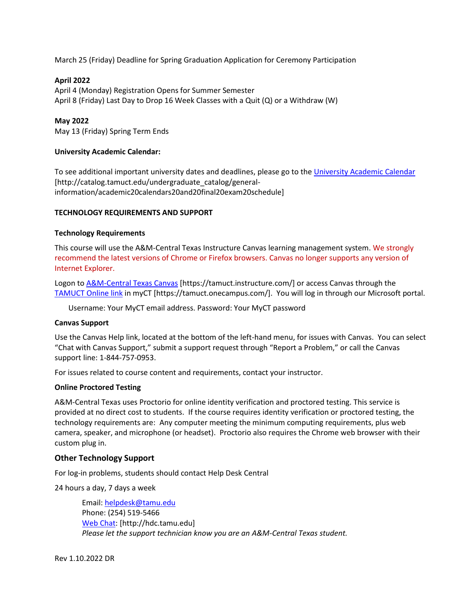March 25 (Friday) Deadline for Spring Graduation Application for Ceremony Participation

#### **April 2022**

April 4 (Monday) Registration Opens for Summer Semester April 8 (Friday) Last Day to Drop 16 Week Classes with a Quit (Q) or a Withdraw (W)

#### **May 2022**

May 13 (Friday) Spring Term Ends

#### **University Academic Calendar:**

To see additional important university dates and deadlines, please go to the [University Academic Calendar](http://catalog.tamuct.edu/undergraduate_catalog/general-information/academic20calendars20and20final20exam20schedule/) [http://catalog.tamuct.edu/undergraduate\_catalog/generalinformation/academic20calendars20and20final20exam20schedule]

#### **TECHNOLOGY REQUIREMENTS AND SUPPORT**

#### **Technology Requirements**

This course will use the A&M-Central Texas Instructure Canvas learning management system. We strongly recommend the latest versions of Chrome or Firefox browsers. Canvas no longer supports any version of Internet Explorer.

Logon t[o A&M-Central Texas Canvas](https://tamuct.instructure.com/) [https://tamuct.instructure.com/] or access Canvas through the [TAMUCT Online link](https://tamuct.onecampus.com/) in myCT [https://tamuct.onecampus.com/]. You will log in through our Microsoft portal.

Username: Your MyCT email address. Password: Your MyCT password

#### **Canvas Support**

Use the Canvas Help link, located at the bottom of the left-hand menu, for issues with Canvas. You can select "Chat with Canvas Support," submit a support request through "Report a Problem," or call the Canvas support line: 1-844-757-0953.

For issues related to course content and requirements, contact your instructor.

#### **Online Proctored Testing**

A&M-Central Texas uses Proctorio for online identity verification and proctored testing. This service is provided at no direct cost to students. If the course requires identity verification or proctored testing, the technology requirements are: Any computer meeting the minimum computing requirements, plus web camera, speaker, and microphone (or headset). Proctorio also requires the Chrome web browser with their custom plug in.

#### **Other Technology Support**

For log-in problems, students should contact Help Desk Central

24 hours a day, 7 days a week

Email: [helpdesk@tamu.edu](mailto:helpdesk@tamu.edu) Phone: (254) 519-5466 [Web Chat:](http://hdc.tamu.edu/) [http://hdc.tamu.edu] *Please let the support technician know you are an A&M-Central Texas student.*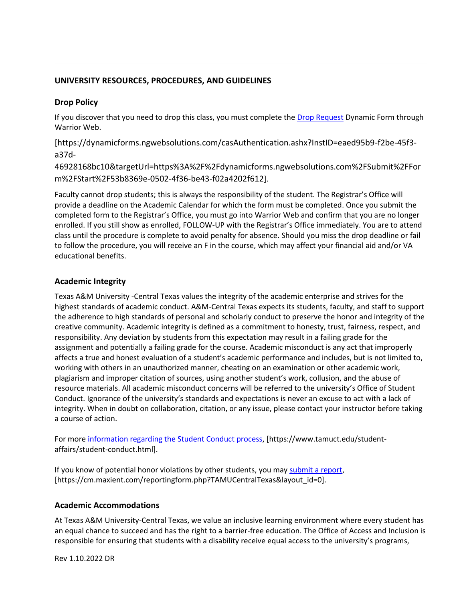## **UNIVERSITY RESOURCES, PROCEDURES, AND GUIDELINES**

## **Drop Policy**

If you discover that you need to drop this class, you must complete the [Drop Request](https://dynamicforms.ngwebsolutions.com/casAuthentication.ashx?InstID=eaed95b9-f2be-45f3-a37d-46928168bc10&targetUrl=https%3A%2F%2Fdynamicforms.ngwebsolutions.com%2FSubmit%2FForm%2FStart%2F53b8369e-0502-4f36-be43-f02a4202f612) Dynamic Form through Warrior Web.

[https://dynamicforms.ngwebsolutions.com/casAuthentication.ashx?InstID=eaed95b9-f2be-45f3 a37d-

46928168bc10&targetUrl=https%3A%2F%2Fdynamicforms.ngwebsolutions.com%2FSubmit%2FFor m%2FStart%2F53b8369e-0502-4f36-be43-f02a4202f612].

Faculty cannot drop students; this is always the responsibility of the student. The Registrar's Office will provide a deadline on the Academic Calendar for which the form must be completed. Once you submit the completed form to the Registrar's Office, you must go into Warrior Web and confirm that you are no longer enrolled. If you still show as enrolled, FOLLOW-UP with the Registrar's Office immediately. You are to attend class until the procedure is complete to avoid penalty for absence. Should you miss the drop deadline or fail to follow the procedure, you will receive an F in the course, which may affect your financial aid and/or VA educational benefits.

## **Academic Integrity**

Texas A&M University -Central Texas values the integrity of the academic enterprise and strives for the highest standards of academic conduct. A&M-Central Texas expects its students, faculty, and staff to support the adherence to high standards of personal and scholarly conduct to preserve the honor and integrity of the creative community. Academic integrity is defined as a commitment to honesty, trust, fairness, respect, and responsibility. Any deviation by students from this expectation may result in a failing grade for the assignment and potentially a failing grade for the course. Academic misconduct is any act that improperly affects a true and honest evaluation of a student's academic performance and includes, but is not limited to, working with others in an unauthorized manner, cheating on an examination or other academic work, plagiarism and improper citation of sources, using another student's work, collusion, and the abuse of resource materials. All academic misconduct concerns will be referred to the university's Office of Student Conduct. Ignorance of the university's standards and expectations is never an excuse to act with a lack of integrity. When in doubt on collaboration, citation, or any issue, please contact your instructor before taking a course of action.

For more [information regarding the Student Conduct process,](https://nam04.safelinks.protection.outlook.com/?url=https%3A%2F%2Fwww.tamuct.edu%2Fstudent-affairs%2Fstudent-conduct.html&data=04%7C01%7Clisa.bunkowski%40tamuct.edu%7Ccfb6e486f24745f53e1a08d910055cb2%7C9eed4e3000f744849ff193ad8005acec%7C0%7C0%7C637558437485252160%7CUnknown%7CTWFpbGZsb3d8eyJWIjoiMC4wLjAwMDAiLCJQIjoiV2luMzIiLCJBTiI6Ik1haWwiLCJXVCI6Mn0%3D%7C1000&sdata=yjftDEVHvLX%2FhM%2FcFU0B99krV1RgEWR%2BJ%2BhvtoR6TYk%3D&reserved=0) [https://www.tamuct.edu/studentaffairs/student-conduct.html].

If you know of potential honor violations by other students, you may [submit a report,](https://nam04.safelinks.protection.outlook.com/?url=https%3A%2F%2Fcm.maxient.com%2Freportingform.php%3FTAMUCentralTexas%26layout_id%3D0&data=04%7C01%7Clisa.bunkowski%40tamuct.edu%7Ccfb6e486f24745f53e1a08d910055cb2%7C9eed4e3000f744849ff193ad8005acec%7C0%7C0%7C637558437485262157%7CUnknown%7CTWFpbGZsb3d8eyJWIjoiMC4wLjAwMDAiLCJQIjoiV2luMzIiLCJBTiI6Ik1haWwiLCJXVCI6Mn0%3D%7C1000&sdata=CXGkOa6uPDPX1IMZ87z3aZDq2n91xfHKu4MMS43Ejjk%3D&reserved=0) [https://cm.maxient.com/reportingform.php?TAMUCentralTexas&layout\_id=0].

## **Academic Accommodations**

At Texas A&M University-Central Texas, we value an inclusive learning environment where every student has an equal chance to succeed and has the right to a barrier-free education. The Office of Access and Inclusion is responsible for ensuring that students with a disability receive equal access to the university's programs,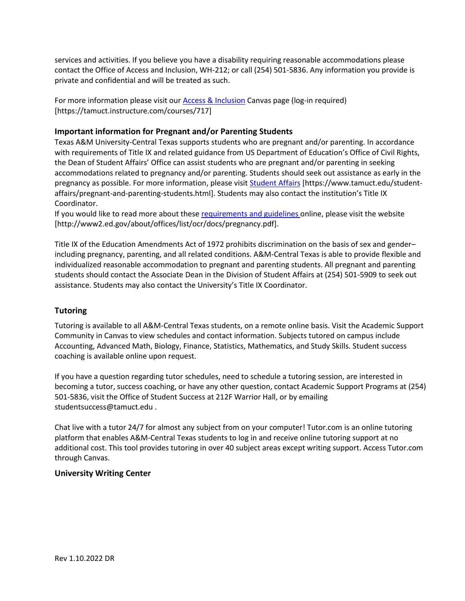services and activities. If you believe you have a disability requiring reasonable accommodations please contact the Office of Access and Inclusion, WH-212; or call (254) 501-5836. Any information you provide is private and confidential and will be treated as such.

For more information please visit our [Access & Inclusion](https://tamuct.instructure.com/courses/717) Canvas page (log-in required) [https://tamuct.instructure.com/courses/717]

## **Important information for Pregnant and/or Parenting Students**

Texas A&M University-Central Texas supports students who are pregnant and/or parenting. In accordance with requirements of Title IX and related guidance from US Department of Education's Office of Civil Rights, the Dean of Student Affairs' Office can assist students who are pregnant and/or parenting in seeking accommodations related to pregnancy and/or parenting. Students should seek out assistance as early in the pregnancy as possible. For more information, please visi[t Student Affairs](https://www.tamuct.edu/student-affairs/pregnant-and-parenting-students.html) [https://www.tamuct.edu/studentaffairs/pregnant-and-parenting-students.html]. Students may also contact the institution's Title IX Coordinator.

If you would like to read more about these [requirements and guidelines](http://www2.ed.gov/about/offices/list/ocr/docs/pregnancy.pdf) online, please visit the website [http://www2.ed.gov/about/offices/list/ocr/docs/pregnancy.pdf].

Title IX of the Education Amendments Act of 1972 prohibits discrimination on the basis of sex and gender– including pregnancy, parenting, and all related conditions. A&M-Central Texas is able to provide flexible and individualized reasonable accommodation to pregnant and parenting students. All pregnant and parenting students should contact the Associate Dean in the Division of Student Affairs at (254) 501-5909 to seek out assistance. Students may also contact the University's Title IX Coordinator.

## **Tutoring**

Tutoring is available to all A&M-Central Texas students, on a remote online basis. Visit the Academic Support Community in Canvas to view schedules and contact information. Subjects tutored on campus include Accounting, Advanced Math, Biology, Finance, Statistics, Mathematics, and Study Skills. Student success coaching is available online upon request.

If you have a question regarding tutor schedules, need to schedule a tutoring session, are interested in becoming a tutor, success coaching, or have any other question, contact Academic Support Programs at (254) 501-5836, visit the Office of Student Success at 212F Warrior Hall, or by emailing studentsuccess@tamuct.edu .

Chat live with a tutor 24/7 for almost any subject from on your computer! Tutor.com is an online tutoring platform that enables A&M-Central Texas students to log in and receive online tutoring support at no additional cost. This tool provides tutoring in over 40 subject areas except writing support. Access Tutor.com through Canvas.

## **University Writing Center**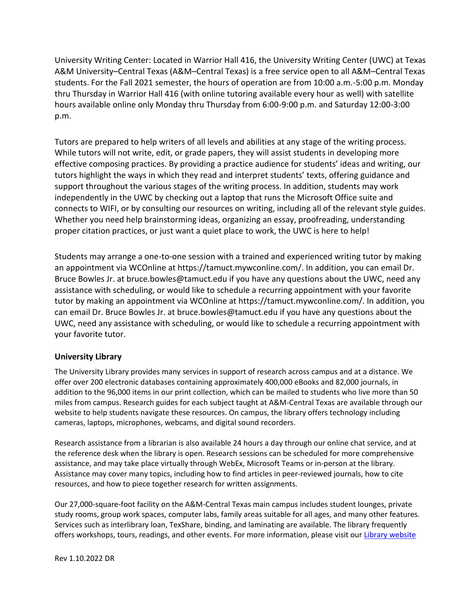University Writing Center: Located in Warrior Hall 416, the University Writing Center (UWC) at Texas A&M University–Central Texas (A&M–Central Texas) is a free service open to all A&M–Central Texas students. For the Fall 2021 semester, the hours of operation are from 10:00 a.m.-5:00 p.m. Monday thru Thursday in Warrior Hall 416 (with online tutoring available every hour as well) with satellite hours available online only Monday thru Thursday from 6:00-9:00 p.m. and Saturday 12:00-3:00 p.m.

Tutors are prepared to help writers of all levels and abilities at any stage of the writing process. While tutors will not write, edit, or grade papers, they will assist students in developing more effective composing practices. By providing a practice audience for students' ideas and writing, our tutors highlight the ways in which they read and interpret students' texts, offering guidance and support throughout the various stages of the writing process. In addition, students may work independently in the UWC by checking out a laptop that runs the Microsoft Office suite and connects to WIFI, or by consulting our resources on writing, including all of the relevant style guides. Whether you need help brainstorming ideas, organizing an essay, proofreading, understanding proper citation practices, or just want a quiet place to work, the UWC is here to help!

Students may arrange a one-to-one session with a trained and experienced writing tutor by making an appointment via WCOnline at https://tamuct.mywconline.com/. In addition, you can email Dr. Bruce Bowles Jr. at bruce.bowles@tamuct.edu if you have any questions about the UWC, need any assistance with scheduling, or would like to schedule a recurring appointment with your favorite tutor by making an appointment via WCOnline at https://tamuct.mywconline.com/. In addition, you can email Dr. Bruce Bowles Jr. at bruce.bowles@tamuct.edu if you have any questions about the UWC, need any assistance with scheduling, or would like to schedule a recurring appointment with your favorite tutor.

## **University Library**

The University Library provides many services in support of research across campus and at a distance. We offer over 200 electronic databases containing approximately 400,000 eBooks and 82,000 journals, in addition to the 96,000 items in our print collection, which can be mailed to students who live more than 50 miles from campus. Research guides for each subject taught at A&M-Central Texas are available through our website to help students navigate these resources. On campus, the library offers technology including cameras, laptops, microphones, webcams, and digital sound recorders.

Research assistance from a librarian is also available 24 hours a day through our online chat service, and at the reference desk when the library is open. Research sessions can be scheduled for more comprehensive assistance, and may take place virtually through WebEx, Microsoft Teams or in-person at the library. Assistance may cover many topics, including how to find articles in peer-reviewed journals, how to cite resources, and how to piece together research for written assignments.

Our 27,000-square-foot facility on the A&M-Central Texas main campus includes student lounges, private study rooms, group work spaces, computer labs, family areas suitable for all ages, and many other features. Services such as interlibrary loan, TexShare, binding, and laminating are available. The library frequently offers workshops, tours, readings, and other events. For more information, please visit our Library [website](https://nam04.safelinks.protection.outlook.com/?url=https%3A%2F%2Ftamuct.libguides.com%2Findex&data=04%7C01%7Clisa.bunkowski%40tamuct.edu%7C7d8489e8839a4915335f08d916f067f2%7C9eed4e3000f744849ff193ad8005acec%7C0%7C0%7C637566044056484222%7CUnknown%7CTWFpbGZsb3d8eyJWIjoiMC4wLjAwMDAiLCJQIjoiV2luMzIiLCJBTiI6Ik1haWwiLCJXVCI6Mn0%3D%7C1000&sdata=2R755V6rcIyedGrd4Os5rkgn1PvhHKU3kUV1vBKiHFo%3D&reserved=0)